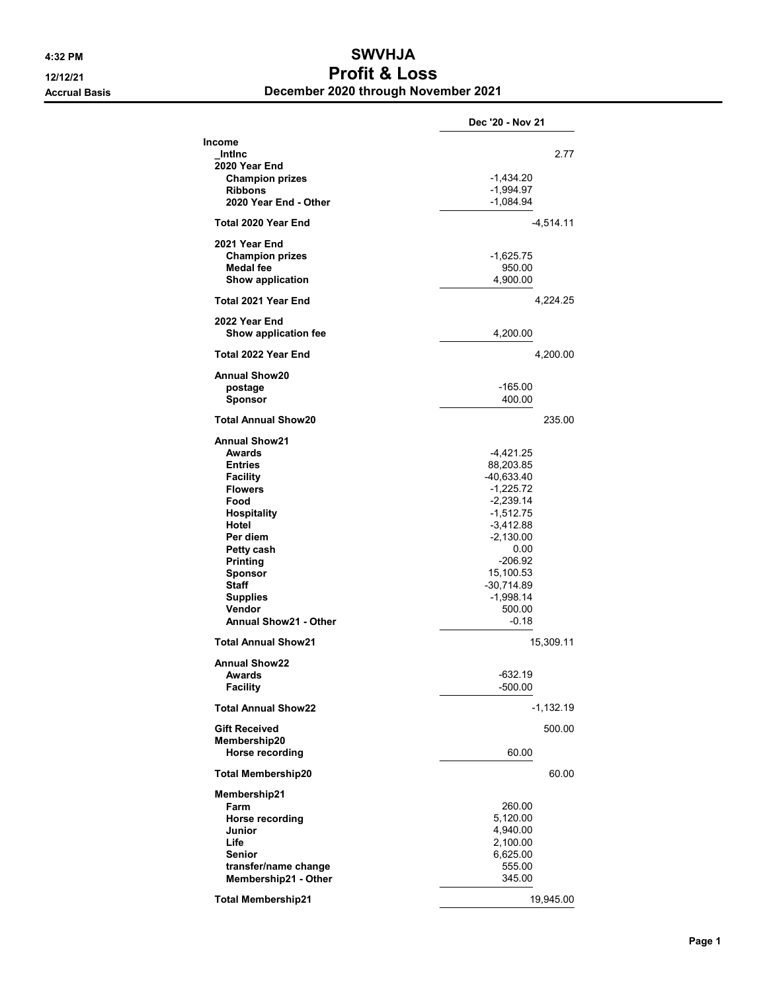## 4:32 PM SWVHJA 12/12/21 Profit & Loss Accrual Basis December 2020 through November 2021

|                                              | Dec '20 - Nov 21           |
|----------------------------------------------|----------------------------|
| Income<br>Intinc<br>2020 Year End            | 2.77                       |
| <b>Champion prizes</b>                       | -1,434.20                  |
| <b>Ribbons</b>                               | -1,994.97                  |
| 2020 Year End - Other                        | -1,084.94                  |
| Total 2020 Year End                          | $-4,514.11$                |
|                                              |                            |
| 2021 Year End                                |                            |
| <b>Champion prizes</b><br><b>Medal fee</b>   | -1,625.75<br>950.00        |
| Show application                             | 4,900.00                   |
|                                              |                            |
| Total 2021 Year End                          | 4,224.25                   |
| 2022 Year End<br><b>Show application fee</b> | 4,200.00                   |
| Total 2022 Year End                          | 4,200.00                   |
| <b>Annual Show20</b>                         |                            |
| postage                                      | -165.00                    |
| Sponsor                                      | 400.00                     |
| <b>Total Annual Show20</b>                   | 235.00                     |
| <b>Annual Show21</b>                         |                            |
| Awards                                       | -4,421.25                  |
| Entries                                      | 88,203.85                  |
| <b>Facility</b>                              | $-40,633.40$               |
| <b>Flowers</b>                               | $-1,225.72$                |
| Food                                         | $-2,239.14$<br>$-1,512.75$ |
| Hospitality<br>Hotel                         | $-3,412.88$                |
| Per diem                                     | $-2,130.00$                |
| Petty cash                                   | 0.00                       |
| <b>Printing</b>                              | $-206.92$                  |
| Sponsor                                      | 15,100.53                  |
| <b>Staff</b>                                 | $-30,714.89$               |
| Supplies                                     | -1,998.14                  |
| Vendor                                       | 500.00                     |
| <b>Annual Show21 - Other</b>                 | $-0.18$                    |
| <b>Total Annual Show21</b>                   | 15,309.11                  |
| Annual Show22                                |                            |
| Awards                                       | -632.19                    |
| <b>Facility</b>                              | -500.00                    |
| <b>Total Annual Show22</b>                   | $-1,132.19$                |
| <b>Gift Received</b>                         | 500.00                     |
| Membership20<br>Horse recording              | 60.00                      |
| <b>Total Membership20</b>                    | 60.00                      |
| Membership21                                 |                            |
| Farm                                         | 260.00                     |
| Horse recording                              | 5,120.00                   |
| Junior                                       | 4,940.00                   |
| Life                                         | 2,100.00                   |
| Senior                                       | 6,625.00                   |
| transfer/name change                         | 555.00                     |
| Membership21 - Other                         | 345.00                     |
| <b>Total Membership21</b>                    | 19,945.00                  |